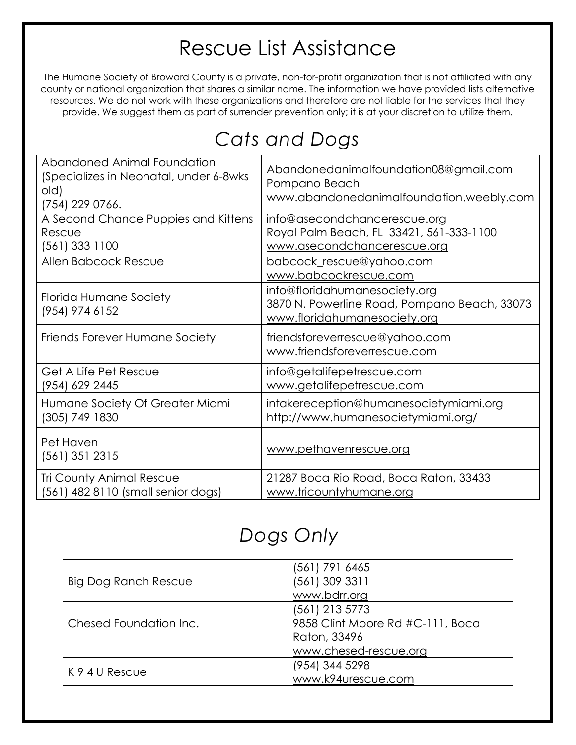## Rescue List Assistance

The Humane Society of Broward County is a private, non-for-profit organization that is not affiliated with any county or national organization that shares a similar name. The information we have provided lists alternative resources. We do not work with these organizations and therefore are not liable for the services that they provide. We suggest them as part of surrender prevention only; it is at your discretion to utilize them.

| Cats and Dogs |  |
|---------------|--|
|---------------|--|

| Abandoned Animal Foundation<br>(Specializes in Neonatal, under 6-8wks<br>old)<br>(754) 229 0766. | Abandonedanimalfoundation08@gmail.com<br>Pompano Beach<br>www.abandonedanimalfoundation.weebly.com            |
|--------------------------------------------------------------------------------------------------|---------------------------------------------------------------------------------------------------------------|
| A Second Chance Puppies and Kittens<br>Rescue<br>(561) 333 1100                                  | info@asecondchancerescue.org<br>Royal Palm Beach, FL 33421, 561-333-1100<br>www.asecondchancerescue.org       |
| Allen Babcock Rescue                                                                             | babcock_rescue@yahoo.com<br>www.babcockrescue.com                                                             |
| Florida Humane Society<br>(954) 974 6152                                                         | info@floridahumanesociety.org<br>3870 N. Powerline Road, Pompano Beach, 33073<br>www.floridahumanesociety.org |
| Friends Forever Humane Society                                                                   | friendsforeverrescue@yahoo.com<br>www.friendsforeverrescue.com                                                |
| Get A Life Pet Rescue<br>(954) 629 2445                                                          | info@getalifepetrescue.com<br>www.getalifepetrescue.com                                                       |
| Humane Society Of Greater Miami<br>(305) 749 1830                                                | intakereception@humanesocietymiami.org<br>http://www.humanesocietymiami.org/                                  |
| Pet Haven<br>(561) 351 2315                                                                      | www.pethavenrescue.org                                                                                        |
| <b>Tri County Animal Rescue</b><br>(561) 482 8110 (small senior dogs)                            | 21287 Boca Rio Road, Boca Raton, 33433<br>www.tricountyhumane.org                                             |

## *Dogs Only*

|                        | (561) 791 6465                   |
|------------------------|----------------------------------|
| Big Dog Ranch Rescue   | (561) 309 3311                   |
|                        | www.bdrr.org                     |
|                        | (561) 213 5773                   |
| Chesed Foundation Inc. | 9858 Clint Moore Rd #C-111, Boca |
|                        | Raton, 33496                     |
|                        | www.chesed-rescue.org            |
| K 9 4 U Rescue         | (954) 344 5298                   |
|                        | www.k94urescue.com               |